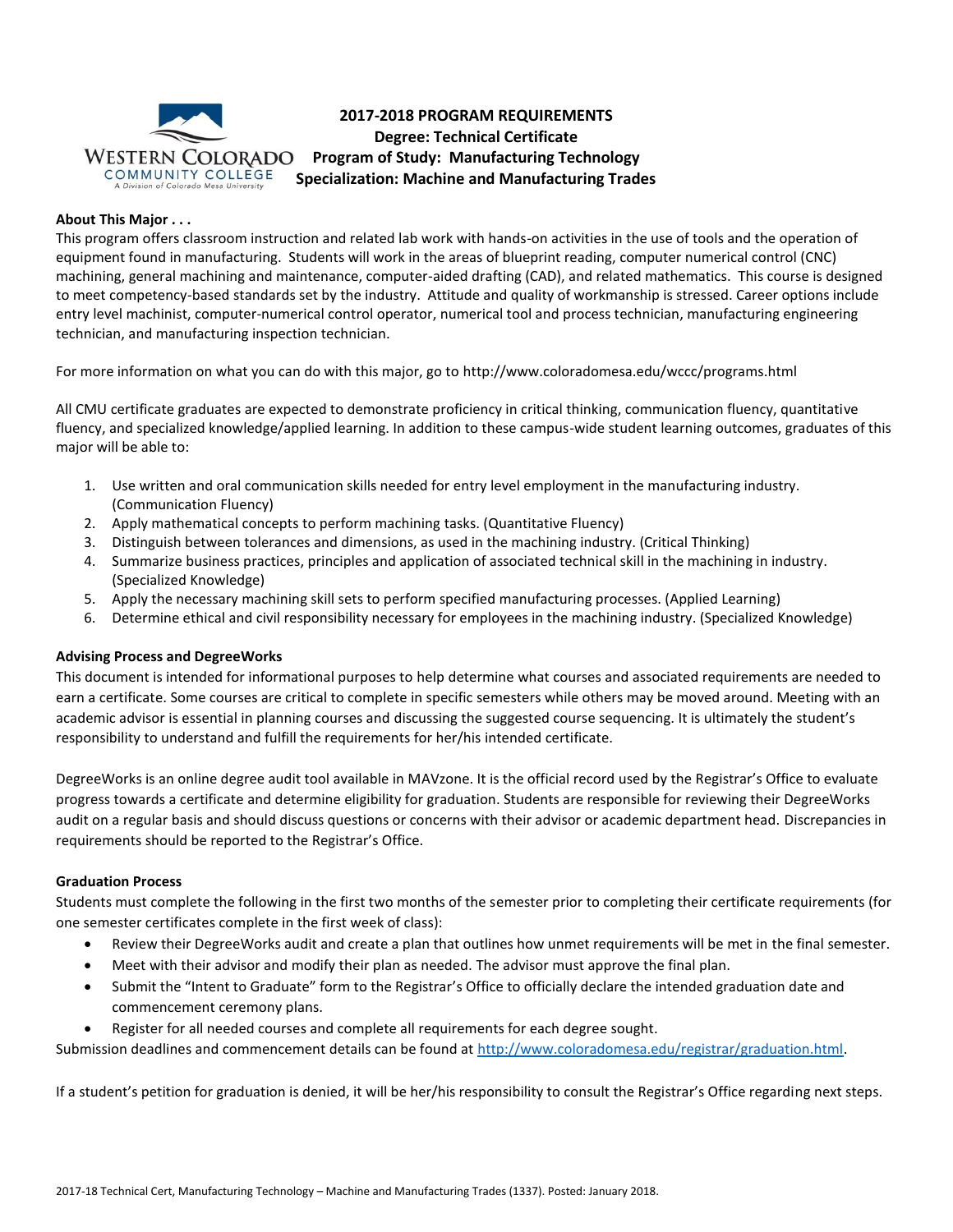

# **2017-2018 PROGRAM REQUIREMENTS Degree: Technical Certificate Program of Study: Manufacturing Technology Specialization: Machine and Manufacturing Trades**

# **About This Major . . .**

This program offers classroom instruction and related lab work with hands-on activities in the use of tools and the operation of equipment found in manufacturing. Students will work in the areas of blueprint reading, computer numerical control (CNC) machining, general machining and maintenance, computer-aided drafting (CAD), and related mathematics. This course is designed to meet competency-based standards set by the industry. Attitude and quality of workmanship is stressed. Career options include entry level machinist, computer-numerical control operator, numerical tool and process technician, manufacturing engineering technician, and manufacturing inspection technician.

For more information on what you can do with this major, go to http://www.coloradomesa.edu/wccc/programs.html

All CMU certificate graduates are expected to demonstrate proficiency in critical thinking, communication fluency, quantitative fluency, and specialized knowledge/applied learning. In addition to these campus-wide student learning outcomes, graduates of this major will be able to:

- 1. Use written and oral communication skills needed for entry level employment in the manufacturing industry. (Communication Fluency)
- 2. Apply mathematical concepts to perform machining tasks. (Quantitative Fluency)
- 3. Distinguish between tolerances and dimensions, as used in the machining industry. (Critical Thinking)
- 4. Summarize business practices, principles and application of associated technical skill in the machining in industry. (Specialized Knowledge)
- 5. Apply the necessary machining skill sets to perform specified manufacturing processes. (Applied Learning)
- 6. Determine ethical and civil responsibility necessary for employees in the machining industry. (Specialized Knowledge)

# **Advising Process and DegreeWorks**

This document is intended for informational purposes to help determine what courses and associated requirements are needed to earn a certificate. Some courses are critical to complete in specific semesters while others may be moved around. Meeting with an academic advisor is essential in planning courses and discussing the suggested course sequencing. It is ultimately the student's responsibility to understand and fulfill the requirements for her/his intended certificate.

DegreeWorks is an online degree audit tool available in MAVzone. It is the official record used by the Registrar's Office to evaluate progress towards a certificate and determine eligibility for graduation. Students are responsible for reviewing their DegreeWorks audit on a regular basis and should discuss questions or concerns with their advisor or academic department head. Discrepancies in requirements should be reported to the Registrar's Office.

# **Graduation Process**

Students must complete the following in the first two months of the semester prior to completing their certificate requirements (for one semester certificates complete in the first week of class):

- Review their DegreeWorks audit and create a plan that outlines how unmet requirements will be met in the final semester.
- Meet with their advisor and modify their plan as needed. The advisor must approve the final plan.
- Submit the "Intent to Graduate" form to the Registrar's Office to officially declare the intended graduation date and commencement ceremony plans.
- Register for all needed courses and complete all requirements for each degree sought.

Submission deadlines and commencement details can be found at [http://www.coloradomesa.edu/registrar/graduation.html.](http://www.coloradomesa.edu/registrar/graduation.html)

If a student's petition for graduation is denied, it will be her/his responsibility to consult the Registrar's Office regarding next steps.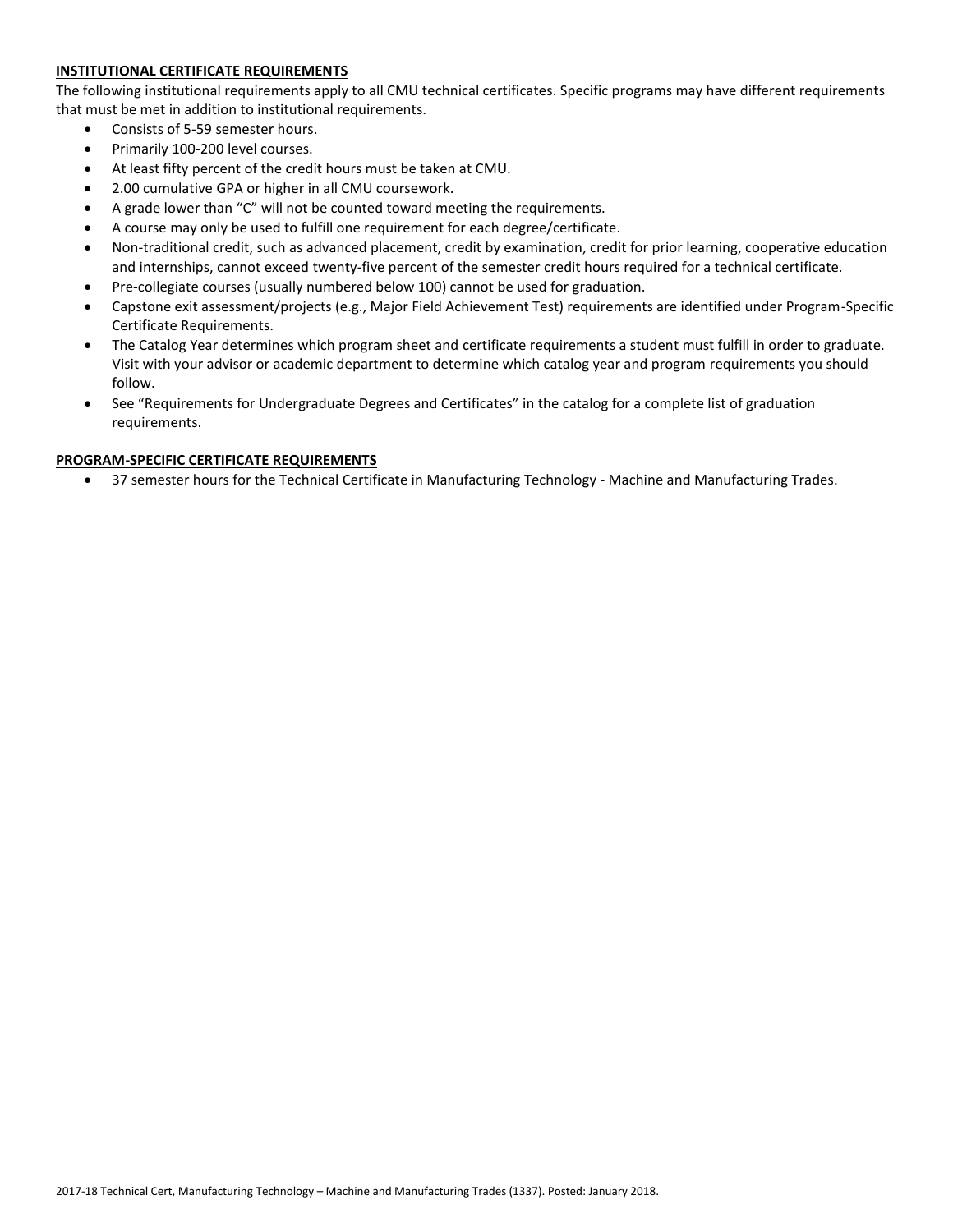# **INSTITUTIONAL CERTIFICATE REQUIREMENTS**

The following institutional requirements apply to all CMU technical certificates. Specific programs may have different requirements that must be met in addition to institutional requirements.

- Consists of 5-59 semester hours.
- Primarily 100-200 level courses.
- At least fifty percent of the credit hours must be taken at CMU.
- 2.00 cumulative GPA or higher in all CMU coursework.
- A grade lower than "C" will not be counted toward meeting the requirements.
- A course may only be used to fulfill one requirement for each degree/certificate.
- Non-traditional credit, such as advanced placement, credit by examination, credit for prior learning, cooperative education and internships, cannot exceed twenty-five percent of the semester credit hours required for a technical certificate.
- Pre-collegiate courses (usually numbered below 100) cannot be used for graduation.
- Capstone exit assessment/projects (e.g., Major Field Achievement Test) requirements are identified under Program-Specific Certificate Requirements.
- The Catalog Year determines which program sheet and certificate requirements a student must fulfill in order to graduate. Visit with your advisor or academic department to determine which catalog year and program requirements you should follow.
- See "Requirements for Undergraduate Degrees and Certificates" in the catalog for a complete list of graduation requirements.

## **PROGRAM-SPECIFIC CERTIFICATE REQUIREMENTS**

37 semester hours for the Technical Certificate in Manufacturing Technology - Machine and Manufacturing Trades.